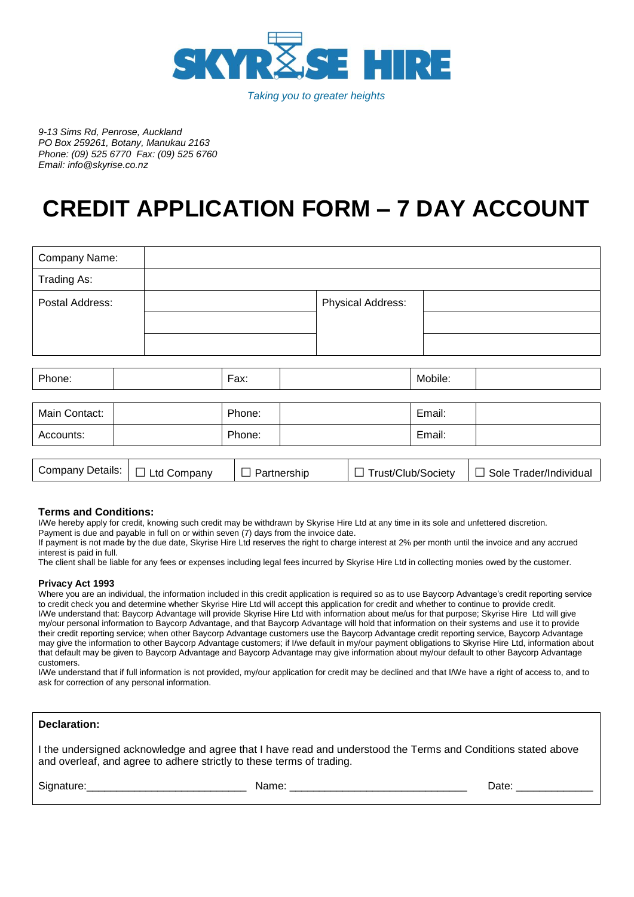

*Taking you to greater heights*

*9-13 Sims Rd, Penrose, Auckland PO Box 259261, Botany, Manukau 2163 Phone: (09) 525 6770 Fax: (09) 525 6760 Email: info@skyrise.co.nz*

# **CREDIT APPLICATION FORM – 7 DAY ACCOUNT**

| Company Name:   |  |        |  |                          |         |  |  |  |  |
|-----------------|--|--------|--|--------------------------|---------|--|--|--|--|
| Trading As:     |  |        |  |                          |         |  |  |  |  |
| Postal Address: |  |        |  | <b>Physical Address:</b> |         |  |  |  |  |
|                 |  |        |  |                          |         |  |  |  |  |
|                 |  |        |  |                          |         |  |  |  |  |
|                 |  |        |  |                          |         |  |  |  |  |
| Phone:          |  | Fax:   |  |                          | Mobile: |  |  |  |  |
|                 |  |        |  |                          |         |  |  |  |  |
| Main Contact:   |  | Phone: |  |                          | Email:  |  |  |  |  |
| Accounts:       |  | Phone: |  |                          | Email:  |  |  |  |  |
|                 |  |        |  |                          |         |  |  |  |  |

| <b>Company Details:</b> | Ltd Company | Partnership | Trust/Club/Society | Sole Trader/Individual |
|-------------------------|-------------|-------------|--------------------|------------------------|
|                         |             |             |                    |                        |

# **Terms and Conditions:**

I/We hereby apply for credit, knowing such credit may be withdrawn by Skyrise Hire Ltd at any time in its sole and unfettered discretion.

Payment is due and payable in full on or within seven (7) days from the invoice date.

If payment is not made by the due date, Skyrise Hire Ltd reserves the right to charge interest at 2% per month until the invoice and any accrued interest is paid in full.

The client shall be liable for any fees or expenses including legal fees incurred by Skyrise Hire Ltd in collecting monies owed by the customer.

# **Privacy Act 1993**

Where you are an individual, the information included in this credit application is required so as to use Baycorp Advantage's credit reporting service to credit check you and determine whether Skyrise Hire Ltd will accept this application for credit and whether to continue to provide credit. I/We understand that: Baycorp Advantage will provide Skyrise Hire Ltd with information about me/us for that purpose; Skyrise Hire Ltd will give my/our personal information to Baycorp Advantage, and that Baycorp Advantage will hold that information on their systems and use it to provide their credit reporting service; when other Baycorp Advantage customers use the Baycorp Advantage credit reporting service, Baycorp Advantage may give the information to other Baycorp Advantage customers; if I/we default in my/our payment obligations to Skyrise Hire Ltd, information about that default may be given to Baycorp Advantage and Baycorp Advantage may give information about my/our default to other Baycorp Advantage customers.

I/We understand that if full information is not provided, my/our application for credit may be declined and that I/We have a right of access to, and to ask for correction of any personal information.

I the undersigned acknowledge and agree that I have read and understood the Terms and Conditions stated above and overleaf, and agree to adhere strictly to these terms of trading.

Signature:\_\_\_\_\_\_\_\_\_\_\_\_\_\_\_\_\_\_\_\_\_\_\_\_\_\_\_ Name: \_\_\_\_\_\_\_\_\_\_\_\_\_\_\_\_\_\_\_\_\_\_\_\_\_\_\_\_\_\_ Date: \_\_\_\_\_\_\_\_\_\_\_\_\_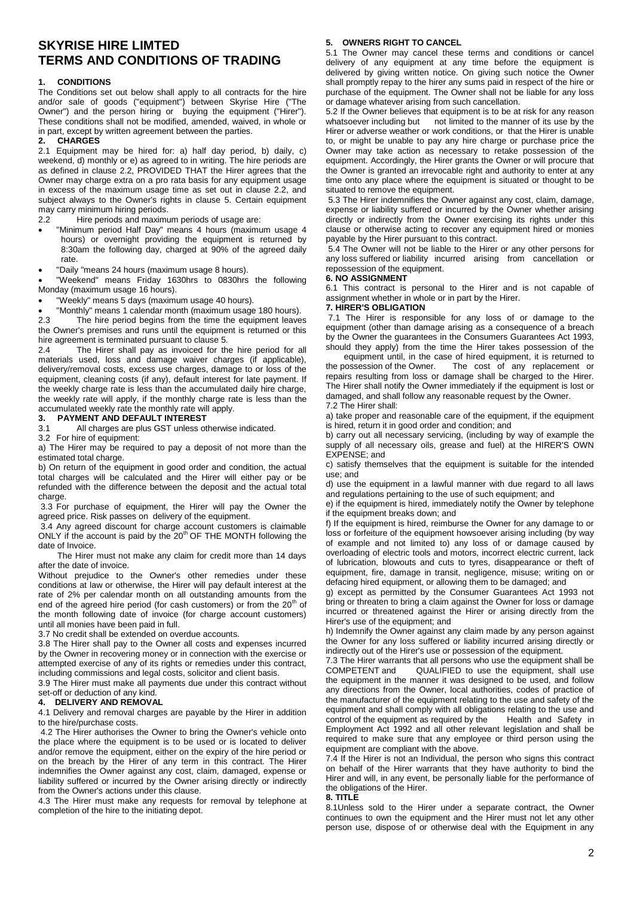# **SKYRISE HIRE LIMTED TERMS AND CONDITIONS OF TRADING**

# **1. CONDITIONS**

The Conditions set out below shall apply to all contracts for the hire and/or sale of goods ("equipment") between Skyrise Hire ("The Owner") and the person hiring or buying the equipment ("Hirer"). These conditions shall not be modified, amended, waived, in whole or in part, except by written agreement between the parties.

#### **2. CHARGES**

2.1 Equipment may be hired for: a) half day period, b) daily, c) weekend, d) monthly or e) as agreed to in writing. The hire periods are as defined in clause 2.2, PROVIDED THAT the Hirer agrees that the Owner may charge extra on a pro rata basis for any equipment usage in excess of the maximum usage time as set out in clause 2.2, and subject always to the Owner's rights in clause 5. Certain equipment may carry minimum hiring periods.

2.2 Hire periods and maximum periods of usage are:

- "Minimum period Half Day" means 4 hours (maximum usage 4 hours) or overnight providing the equipment is returned by 8:30am the following day, charged at 90% of the agreed daily rate.
- "Daily "means 24 hours (maximum usage 8 hours).

 "Weekend" means Friday 1630hrs to 0830hrs the following Monday (maximum usage 16 hours).

"Weekly" means 5 days (maximum usage 40 hours).

• "Monthly" means 1 calendar month (maximum usage 180 hours).<br>2.3 The bire period begins from the time the equipment leave The hire period begins from the time the equipment leaves the Owner's premises and runs until the equipment is returned or this hire agreement is terminated pursuant to clause 5.

2.4 The Hirer shall pay as invoiced for the hire period for all materials used, loss and damage waiver charges (if applicable), delivery/removal costs, excess use charges, damage to or loss of the equipment, cleaning costs (if any), default interest for late payment. If the weekly charge rate is less than the accumulated daily hire charge, the weekly rate will apply, if the monthly charge rate is less than the accumulated weekly rate the monthly rate will apply.

#### **3. PAYMENT AND DEFAULT INTEREST**

3.1 All charges are plus GST unless otherwise indicated.

3.2 For hire of equipment:

a) The Hirer may be required to pay a deposit of not more than the estimated total charge.

b) On return of the equipment in good order and condition, the actual total charges will be calculated and the Hirer will either pay or be refunded with the difference between the deposit and the actual total charge.

3.3 For purchase of equipment, the Hirer will pay the Owner the agreed price. Risk passes on delivery of the equipment.

3.4 Any agreed discount for charge account customers is claimable ONLY if the account is paid by the 20<sup>th</sup> OF THE MONTH following the date of Invoice.

The Hirer must not make any claim for credit more than 14 days after the date of invoice.

Without prejudice to the Owner's other remedies under these conditions at law or otherwise, the Hirer will pay default interest at the rate of 2% per calendar month on all outstanding amounts from the end of the agreed hire period (for cash customers) or from the  $20<sup>th</sup>$  of the month following date of invoice (for charge account customers) until all monies have been paid in full.

3.7 No credit shall be extended on overdue accounts.

3.8 The Hirer shall pay to the Owner all costs and expenses incurred by the Owner in recovering money or in connection with the exercise or attempted exercise of any of its rights or remedies under this contract, including commissions and legal costs, solicitor and client basis.

3.9 The Hirer must make all payments due under this contract without set-off or deduction of any kind.

#### **4. DELIVERY AND REMOVAL**

4.1 Delivery and removal charges are payable by the Hirer in addition to the hire/purchase costs.

4.2 The Hirer authorises the Owner to bring the Owner's vehicle onto the place where the equipment is to be used or is located to deliver and/or remove the equipment, either on the expiry of the hire period or on the breach by the Hirer of any term in this contract. The Hirer indemnifies the Owner against any cost, claim, damaged, expense or liability suffered or incurred by the Owner arising directly or indirectly from the Owner's actions under this clause.

4.3 The Hirer must make any requests for removal by telephone at completion of the hire to the initiating depot.

#### **5. OWNERS RIGHT TO CANCEL**

5.1 The Owner may cancel these terms and conditions or cancel delivery of any equipment at any time before the equipment is delivered by giving written notice. On giving such notice the Owner shall promptly repay to the hirer any sums paid in respect of the hire or purchase of the equipment. The Owner shall not be liable for any loss or damage whatever arising from such cancellation.

5.2 If the Owner believes that equipment is to be at risk for any reason whatsoever including but not limited to the manner of its use by the Hirer or adverse weather or work conditions, or that the Hirer is unable to, or might be unable to pay any hire charge or purchase price the Owner may take action as necessary to retake possession of the equipment. Accordingly, the Hirer grants the Owner or will procure that the Owner is granted an irrevocable right and authority to enter at any time onto any place where the equipment is situated or thought to be situated to remove the equipment.

5.3 The Hirer indemnifies the Owner against any cost, claim, damage, expense or liability suffered or incurred by the Owner whether arising directly or indirectly from the Owner exercising its rights under this clause or otherwise acting to recover any equipment hired or monies payable by the Hirer pursuant to this contract.

5.4 The Owner will not be liable to the Hirer or any other persons for any loss suffered or liability incurred arising from cancellation or repossession of the equipment.

#### **6. NO ASSIGNMENT**

6.1 This contract is personal to the Hirer and is not capable of assignment whether in whole or in part by the Hirer.

# **7. HIRER'S OBLIGATION**

7.1 The Hirer is responsible for any loss of or damage to the equipment (other than damage arising as a consequence of a breach by the Owner the guarantees in the Consumers Guarantees Act 1993, should they apply) from the time the Hirer takes possession of the

equipment until, in the case of hired equipment, it is returned to the possession of the Owner. The cost of any replacement or repairs resulting from loss or damage shall be charged to the Hirer. The Hirer shall notify the Owner immediately if the equipment is lost or damaged, and shall follow any reasonable request by the Owner. 7.2 The Hirer shall:

a) take proper and reasonable care of the equipment, if the equipment is hired, return it in good order and condition; and

b) carry out all necessary servicing, (including by way of example the supply of all necessary oils, grease and fuel) at the HIRER'S OWN EXPENSE; and

c) satisfy themselves that the equipment is suitable for the intended use; and

d) use the equipment in a lawful manner with due regard to all laws and regulations pertaining to the use of such equipment; and

e) if the equipment is hired, immediately notify the Owner by telephone if the equipment breaks down; and

f) If the equipment is hired, reimburse the Owner for any damage to or loss or forfeiture of the equipment howsoever arising including (by way of example and not limited to) any loss of or damage caused by overloading of electric tools and motors, incorrect electric current, lack of lubrication, blowouts and cuts to tyres, disappearance or theft of equipment, fire, damage in transit, negligence, misuse; writing on or defacing hired equipment, or allowing them to be damaged; and

g) except as permitted by the Consumer Guarantees Act 1993 not bring or threaten to bring a claim against the Owner for loss or damage incurred or threatened against the Hirer or arising directly from the Hirer's use of the equipment; and

h) Indemnify the Owner against any claim made by any person against the Owner for any loss suffered or liability incurred arising directly or indirectly out of the Hirer's use or possession of the equipment.

7.3 The Hirer warrants that all persons who use the equipment shall be COMPETENT and QUALIFIED to use the equipment, shall use the equipment in the manner it was designed to be used, and follow any directions from the Owner, local authorities, codes of practice of the manufacturer of the equipment relating to the use and safety of the equipment and shall comply with all obligations relating to the use and control of the equipment as required by the Health and Safety in Employment Act 1992 and all other relevant legislation and shall be required to make sure that any employee or third person using the equipment are compliant with the above.

7.4 If the Hirer is not an Individual, the person who signs this contract on behalf of the Hirer warrants that they have authority to bind the Hirer and will, in any event, be personally liable for the performance of the obligations of the Hirer.

#### **8. TITLE**

8.1Unless sold to the Hirer under a separate contract, the Owner continues to own the equipment and the Hirer must not let any other person use, dispose of or otherwise deal with the Equipment in any